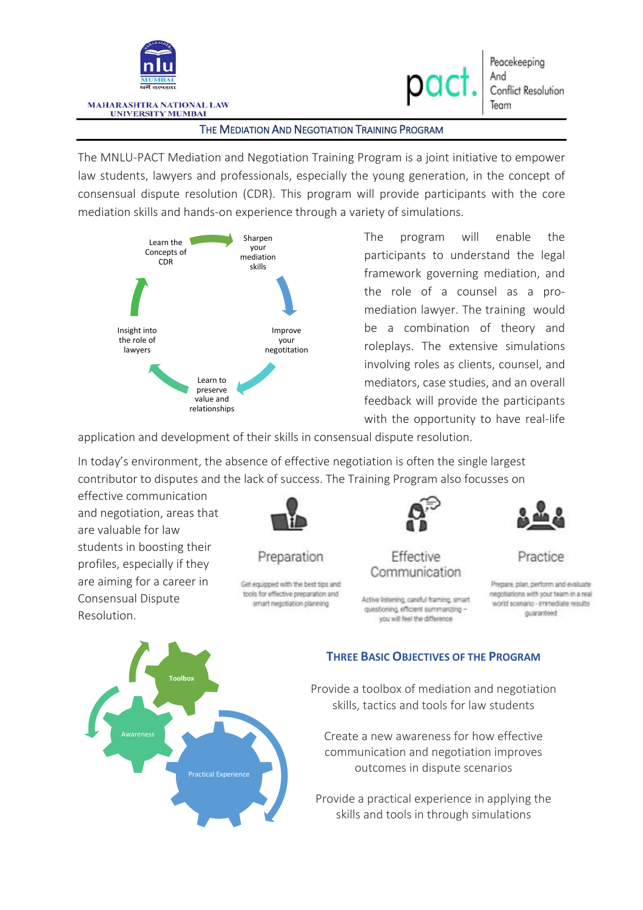

### THE MEDIATION AND NEGOTIATION TRAINING PROGRAM

The MNLU-PACT Mediation and Negotiation Training Program is a joint initiative to empower law students, lawyers and professionals, especially the young generation, in the concept of consensual dispute resolution (CDR). This program will provide participants with the core mediation skills and hands-on experience through a variety of simulations.



The program will enable the participants to understand the legal framework governing mediation, and the role of a counsel as a promediation lawyer. The training would be a combination of theory and roleplays. The extensive simulations involving roles as clients, counsel, and mediators, case studies, and an overall feedback will provide the participants with the opportunity to have real-life

application and development of their skills in consensual dispute resolution.

In today's environment, the absence of effective negotiation is often the single largest contributor to disputes and the lack of success. The Training Program also focusses on

effective communication and negotiation, areas that are valuable for law students in boosting their profiles, especially if they are aiming for a career in Consensual Dispute Resolution.



Preparation

Get equipped with the best tips and tools for effective preparation and smart negotiation planning



Effective Communication

Active listening, careful framing, smart questioning, efficient summarizing you will feel the difference



Practice

Prepare, plan, perform and evaluate negotiations with your team in a real world scenario - immediate results guaranteed



### **THREE BASIC OBJECTIVES OF THE PROGRAM**

Provide a toolbox of mediation and negotiation skills, tactics and tools for law students

Create a new awareness for how effective communication and negotiation improves outcomes in dispute scenarios

Provide a practical experience in applying the skills and tools in through simulations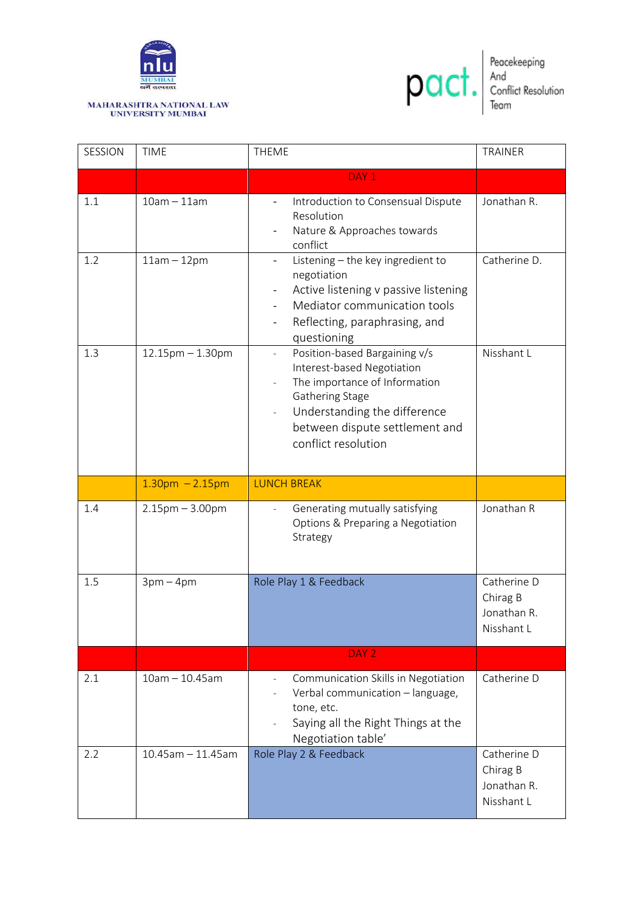

# MAHARASHTRA NATIONAL LAW<br>UNIVERSITY MUMBAI



Peacekeeping<br>And<br>Conflict Resolution<br>Team

| SESSION | <b>TIME</b>             | <b>THEME</b>                                                                                                                                                                                                                                                                | <b>TRAINER</b>                                       |
|---------|-------------------------|-----------------------------------------------------------------------------------------------------------------------------------------------------------------------------------------------------------------------------------------------------------------------------|------------------------------------------------------|
|         |                         | DAY <sub>1</sub>                                                                                                                                                                                                                                                            |                                                      |
| 1.1     | $10am - 11am$           | Introduction to Consensual Dispute<br>$\overline{\phantom{a}}$<br>Resolution<br>Nature & Approaches towards<br>conflict                                                                                                                                                     | Jonathan R.                                          |
| 1.2     | $11am - 12pm$           | Listening - the key ingredient to<br>$\overline{\phantom{0}}$<br>negotiation<br>Active listening v passive listening<br>$\qquad \qquad \blacksquare$<br>Mediator communication tools<br>Reflecting, paraphrasing, and<br>questioning                                        | Catherine D.                                         |
| 1.3     | $12.15$ pm $- 1.30$ pm  | Position-based Bargaining v/s<br>$\blacksquare$<br>Interest-based Negotiation<br>The importance of Information<br>$\qquad \qquad -$<br>Gathering Stage<br>Understanding the difference<br>$\overline{\phantom{0}}$<br>between dispute settlement and<br>conflict resolution | Nisshant L                                           |
|         | $1.30$ pm $- 2.15$ pm   | <b>LUNCH BREAK</b>                                                                                                                                                                                                                                                          |                                                      |
| 1.4     | $2.15$ pm $- 3.00$ pm   | Generating mutually satisfying<br>$\overline{\phantom{a}}$<br>Options & Preparing a Negotiation<br>Strategy                                                                                                                                                                 | Jonathan R                                           |
| 1.5     | $3pm-4pm$               | Role Play 1 & Feedback                                                                                                                                                                                                                                                      | Catherine D<br>Chirag B<br>Jonathan R.<br>Nisshant L |
|         |                         | DAY <sub>2</sub>                                                                                                                                                                                                                                                            |                                                      |
| 2.1     | $10am - 10.45am$        | Communication Skills in Negotiation<br>Verbal communication - language,<br>tone, etc.<br>Saying all the Right Things at the<br>Negotiation table'                                                                                                                           | Catherine D                                          |
| 2.2     | $10.45$ am $- 11.45$ am | Role Play 2 & Feedback                                                                                                                                                                                                                                                      | Catherine D<br>Chirag B<br>Jonathan R.<br>Nisshant L |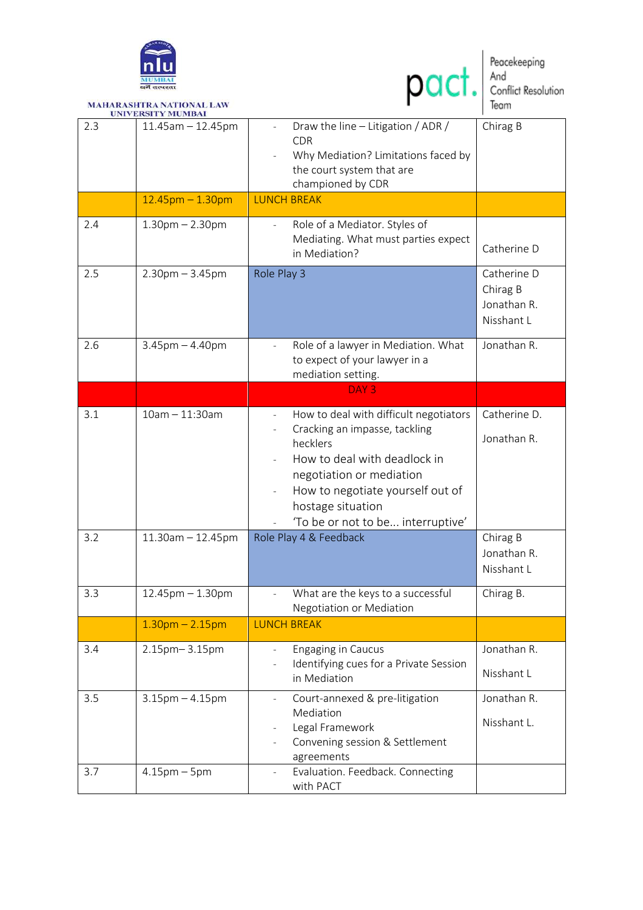



MAHARASHTRA NATIONAL LAW<br>UNIVERSITY MUMBAI

| 2.3        | $11.45$ am $- 12.45$ pm<br>$12.45$ pm $- 1.30$ pm | Draw the line - Litigation / ADR /<br>$\overline{\phantom{a}}$<br><b>CDR</b><br>Why Mediation? Limitations faced by<br>the court system that are<br>championed by CDR<br><b>LUNCH BREAK</b>                                                                                                         | Chirag B                                               |
|------------|---------------------------------------------------|-----------------------------------------------------------------------------------------------------------------------------------------------------------------------------------------------------------------------------------------------------------------------------------------------------|--------------------------------------------------------|
| 2.4        | $1.30$ pm $- 2.30$ pm                             | Role of a Mediator. Styles of<br>$\overline{\phantom{a}}$<br>Mediating. What must parties expect<br>in Mediation?                                                                                                                                                                                   | Catherine D                                            |
| 2.5        | $2.30$ pm $- 3.45$ pm                             | Role Play 3                                                                                                                                                                                                                                                                                         | Catherine D<br>Chirag B<br>Jonathan R.<br>Nisshant L   |
| 2.6        | $3.45$ pm $- 4.40$ pm                             | Role of a lawyer in Mediation. What<br>to expect of your lawyer in a<br>mediation setting.                                                                                                                                                                                                          | Jonathan R.                                            |
|            |                                                   | DAY <sub>3</sub>                                                                                                                                                                                                                                                                                    |                                                        |
| 3.1<br>3.2 | $10am - 11:30am$<br>$11.30$ am $- 12.45$ pm       | How to deal with difficult negotiators<br>$\overline{\phantom{a}}$<br>Cracking an impasse, tackling<br>hecklers<br>How to deal with deadlock in<br>negotiation or mediation<br>How to negotiate yourself out of<br>hostage situation<br>'To be or not to be interruptive'<br>Role Play 4 & Feedback | Catherine D.<br>Jonathan R.<br>Chirag B<br>Jonathan R. |
|            |                                                   |                                                                                                                                                                                                                                                                                                     | Nisshant L                                             |
| 3.3        | $12.45$ pm $- 1.30$ pm                            | What are the keys to a successful<br>$\overline{\phantom{0}}$<br>Negotiation or Mediation                                                                                                                                                                                                           | Chirag B.                                              |
|            | $1.30pm - 2.15pm$                                 | <b>LUNCH BREAK</b>                                                                                                                                                                                                                                                                                  |                                                        |
| 3.4        | 2.15pm-3.15pm                                     | <b>Engaging in Caucus</b><br>Identifying cues for a Private Session<br>in Mediation                                                                                                                                                                                                                 | Jonathan R.<br>Nisshant L                              |
| 3.5        | $3.15$ pm $-4.15$ pm                              | Court-annexed & pre-litigation<br>$\qquad \qquad -$<br>Mediation<br>Legal Framework<br>Convening session & Settlement<br>agreements                                                                                                                                                                 | Jonathan R.<br>Nisshant L.                             |
| 3.7        | $4.15$ pm $-5$ pm                                 | Evaluation. Feedback. Connecting<br>with PACT                                                                                                                                                                                                                                                       |                                                        |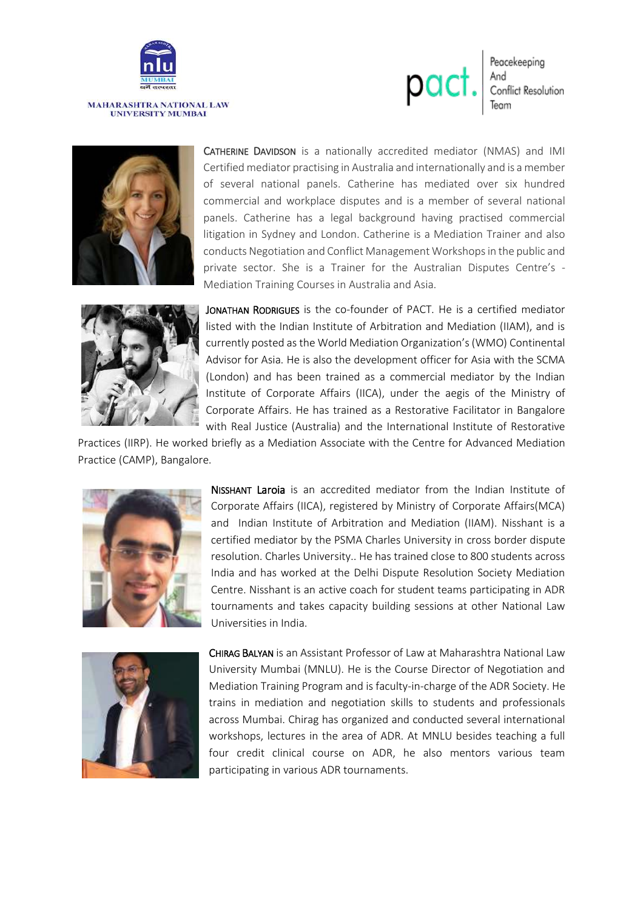

## MAHARASHTRA NATIONAL LAW<br>UNIVERSITY MUMBAI







CATHERINE DAVIDSON is a nationally accredited mediator (NMAS) and IMI Certified mediator practising in Australia and internationally and is a member of several national panels. Catherine has mediated over six hundred commercial and workplace disputes and is a member of several national panels. Catherine has a legal background having practised commercial litigation in Sydney and London. Catherine is a Mediation Trainer and also conducts Negotiation and Conflict Management Workshops in the public and private sector. She is a Trainer for the Australian Disputes Centre's - Mediation Training Courses in Australia and Asia.



JONATHAN RODRIGUES is the co-founder of PACT. He is a certified mediator listed with the Indian Institute of Arbitration and Mediation (IIAM), and is currently posted as the World Mediation Organization's (WMO) Continental Advisor for Asia. He is also the development officer for Asia with the SCMA (London) and has been trained as a commercial mediator by the Indian Institute of Corporate Affairs (IICA), under the aegis of the Ministry of Corporate Affairs. He has trained as a Restorative Facilitator in Bangalore with Real Justice (Australia) and the International Institute of Restorative

Practices (IIRP). He worked briefly as a Mediation Associate with the Centre for Advanced Mediation Practice (CAMP), Bangalore.



NISSHANT Laroia is an accredited mediator from the Indian Institute of Corporate Affairs (IICA), registered by Ministry of Corporate Affairs(MCA) and Indian Institute of Arbitration and Mediation (IIAM). Nisshant is a certified mediator by the PSMA Charles University in cross border dispute resolution. Charles University.. He has trained close to 800 students across India and has worked at the Delhi Dispute Resolution Society Mediation Centre. Nisshant is an active coach for student teams participating in ADR tournaments and takes capacity building sessions at other National Law Universities in India.



CHIRAG BALYAN is an Assistant Professor of Law at Maharashtra National Law University Mumbai (MNLU). He is the Course Director of Negotiation and Mediation Training Program and is faculty-in-charge of the ADR Society. He trains in mediation and negotiation skills to students and professionals across Mumbai. Chirag has organized and conducted several international workshops, lectures in the area of ADR. At MNLU besides teaching a full four credit clinical course on ADR, he also mentors various team participating in various ADR tournaments.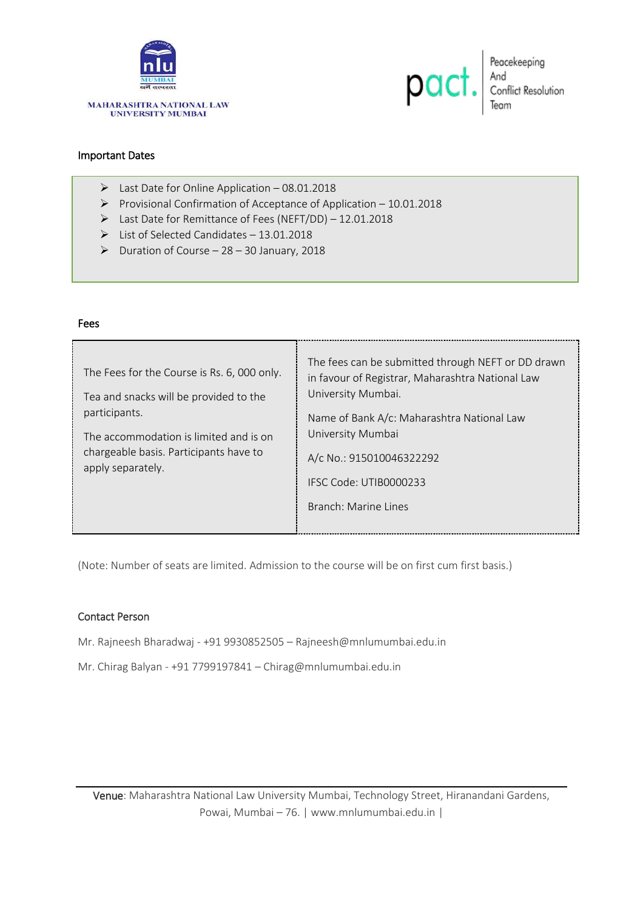



Peacekeeping<br>And<br>Conflict Resolution<br>Team

### Important Dates

Fees

- $\triangleright$  Last Date for Online Application 08.01.2018
- Provisional Confirmation of Acceptance of Application  $10.01.2018$
- Last Date for Remittance of Fees (NEFT/DD) 12.01.2018
- $\triangleright$  List of Selected Candidates 13.01.2018
- $\triangleright$  Duration of Course 28 30 January, 2018

| <b>rees</b>                                                                                                                                                                                                     |                                                                                                                                                                                                                                                                               |  |  |  |  |
|-----------------------------------------------------------------------------------------------------------------------------------------------------------------------------------------------------------------|-------------------------------------------------------------------------------------------------------------------------------------------------------------------------------------------------------------------------------------------------------------------------------|--|--|--|--|
| The Fees for the Course is Rs. 6, 000 only.<br>Tea and snacks will be provided to the<br>participants.<br>The accommodation is limited and is on<br>chargeable basis. Participants have to<br>apply separately. | The fees can be submitted through NEFT or DD drawn<br>in favour of Registrar, Maharashtra National Law<br>University Mumbai.<br>Name of Bank A/c: Maharashtra National Law<br>University Mumbai<br>A/c No.: 915010046322292<br>IESC Code: UTIB0000233<br>Branch: Marine Lines |  |  |  |  |

(Note: Number of seats are limited. Admission to the course will be on first cum first basis.)

### Contact Person

Mr. Rajneesh Bharadwaj - +91 9930852505 – Rajneesh@mnlumumbai.edu.in

Mr. Chirag Balyan - +91 7799197841 – Chirag@mnlumumbai.edu.in